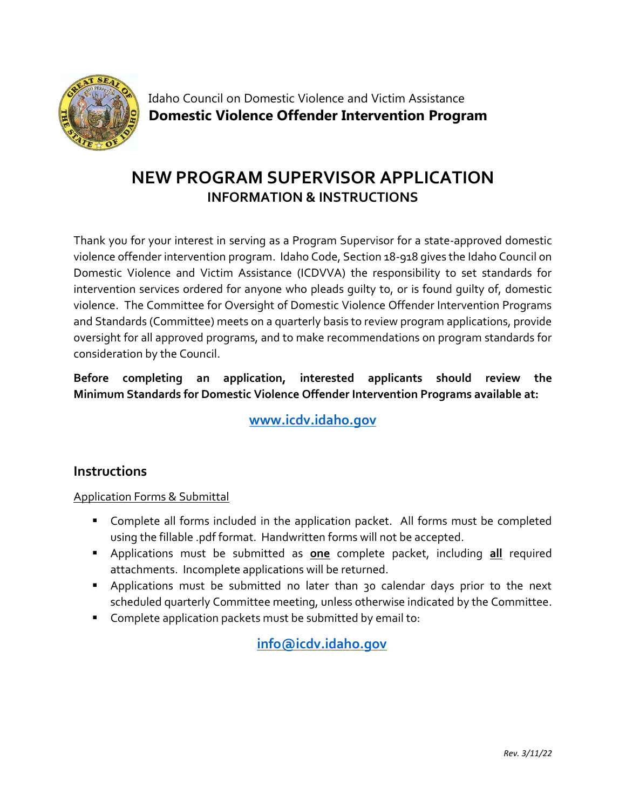

Idaho Council on Domestic Violence and Victim Assistance **Domestic Violence Offender Intervention Program**

# **NEW PROGRAM SUPERVISOR APPLICATION INFORMATION & INSTRUCTIONS**

Thank you for your interest in serving as a Program Supervisor for a state-approved domestic violence offender intervention program. Idaho Code, Section 18-918 gives the Idaho Council on Domestic Violence and Victim Assistance (ICDVVA) the responsibility to set standards for intervention services ordered for anyone who pleads guilty to, or is found guilty of, domestic violence. The Committee for Oversight of Domestic Violence Offender Intervention Programs and Standards (Committee) meets on a quarterly basis to review program applications, provide oversight for all approved programs, and to make recommendations on program standards for consideration by the Council.

## **Before completing an application, interested applicants should review the Minimum Standards for Domestic Violence Offender Intervention Programs available at:**

**[www.icdv.idaho.gov](https://icdv.idaho.gov/wp-content/uploads/sites/80/2019/10/MinimumStandardsForDVOffenderInterventionProgramsFINAL.pdf)**

## **Instructions**

#### Application Forms & Submittal

- Complete all forms included in the application packet. All forms must be completed using the fillable .pdf format. Handwritten forms will not be accepted.
- Applications must be submitted as **one** complete packet, including **all** required attachments. Incomplete applications will be returned.
- Applications must be submitted no later than 30 calendar days prior to the next scheduled quarterly Committee meeting, unless otherwise indicated by the Committee.
- Complete application packets must be submitted by email to:

**[info@icdv.idaho.gov](mailto:info@icdv.idaho.gov)**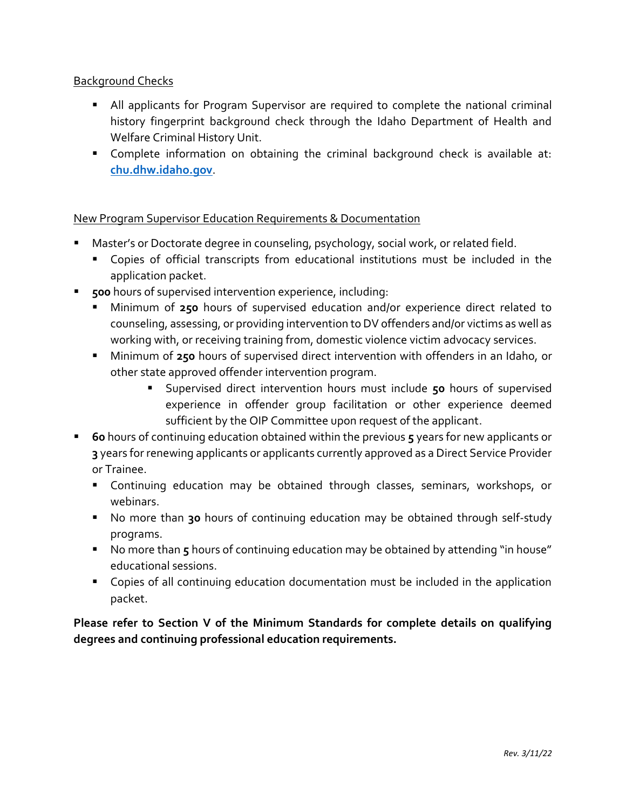#### Background Checks

- All applicants for Program Supervisor are required to complete the national criminal history fingerprint background check through the Idaho Department of Health and Welfare Criminal History Unit.
- Complete information on obtaining the criminal background check is available at: **[chu.dhw.idaho.gov](https://chu.dhw.idaho.gov/)**.

New Program Supervisor Education Requirements & Documentation

- Master's or Doctorate degree in counseling, psychology, social work, or related field.
	- Copies of official transcripts from educational institutions must be included in the application packet.
- **500** hours of supervised intervention experience, including:
	- Minimum of 250 hours of supervised education and/or experience direct related to counseling, assessing, or providing intervention to DV offenders and/or victims as well as working with, or receiving training from, domestic violence victim advocacy services.
	- Minimum of **250** hours of supervised direct intervention with offenders in an Idaho, or other state approved offender intervention program.
		- Supervised direct intervention hours must include 50 hours of supervised experience in offender group facilitation or other experience deemed sufficient by the OIP Committee upon request of the applicant.
- **60** hours of continuing education obtained within the previous **5** years for new applicants or **3** years for renewing applicants or applicants currently approved as a Direct Service Provider or Trainee.
	- Continuing education may be obtained through classes, seminars, workshops, or webinars.
	- No more than 30 hours of continuing education may be obtained through self-study programs.
	- No more than 5 hours of continuing education may be obtained by attending "in house" educational sessions.
	- Copies of all continuing education documentation must be included in the application packet.

**Please refer to Section V of the Minimum Standards for complete details on qualifying degrees and continuing professional education requirements.**